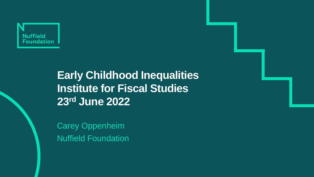

# **Early Childhood Inequalities Institute for Fiscal Studies 23rd June 2022**

Carey Oppenheim Nuffield Foundation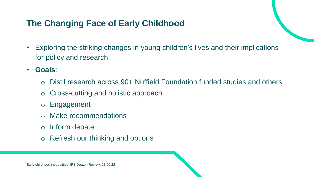## **The Changing Face of Early Childhood**

- Exploring the striking changes in young children's lives and their implications for policy and research.
- **Goals**:
	- o Distil research across 90+ Nuffield Foundation funded studies and others
	- o Cross-cutting and holistic approach
	- o Engagement
	- Make recommendations
	- o Inform debate
	- o Refresh our thinking and options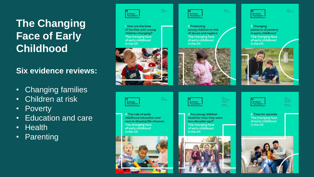# **The Changing Face of Early Childhood**

#### **Six evidence reviews:**

- Changing families
- Children at risk
- Poverty
- Education and care
- Health
- Parenting

| a.        |
|-----------|
| oundation |

1 How are the lives of families with young children changing? The changing face of early childhood in the UK



**Nuffield** 

in the UK

4 The role of early

The changing face

of early childhood

childhood education and

care in shaping life chances



2 Protecting young children at risk of abuse and neglect The changing face of early childhood in the UK







Richard Batcheler<br>Of Disgolitar<br>prayer<br>Of Palstaw Unit<br>Beckeredistr<br>Beckeredistr



**Nuffield**<br>Foundation

<sup>3</sup> Changing patterns of poverty in early childhood The changing face of early childhood in the UK





**6 Time for parents** The changing face of early childhood in the UK

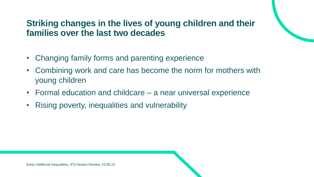### **Striking changes in the lives of young children and their families over the last two decades**

- Changing family forms and parenting experience
- Combining work and care has become the norm for mothers with young children
- Formal education and childcare a near universal experience
- Rising poverty, inequalities and vulnerability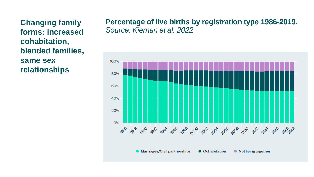**Changing family forms: increased cohabitation, blended families, same sex relationships**

#### **Percentage of live births by registration type 1986-2019.**  *Source: Kiernan et al. 2022*

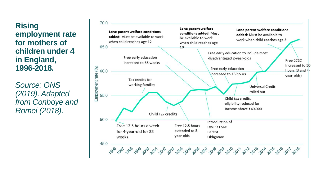**Rising employment rate for mothers of children under 4 in England, 1996-2018.** 

*Source: ONS (2019). Adapted from Conboye and Romei (2018).*

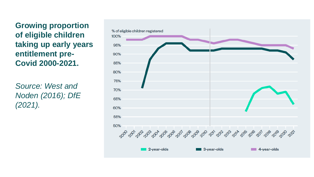**Growing proportion of eligible children taking up early years entitlement pre-Covid 2000-2021.** 

*Source: West and Noden (2016); DfE (2021).* 

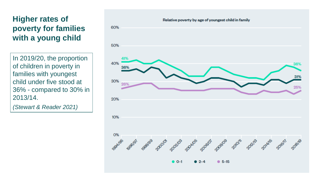#### **Higher rates of poverty for families with a young child**

In 2019/20, the proportion of children in poverty in families with youngest child under five stood at 36% - compared to 30% in 2013/14.

*(Stewart & Reader 2021)*

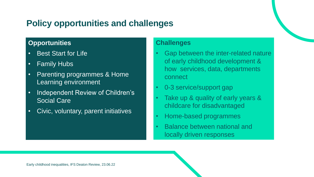## **Policy opportunities and challenges**

#### **Opportunities**

- Best Start for Life
- Family Hubs
- Parenting programmes & Home Learning environment
- Independent Review of Children's Social Care
- Civic, voluntary, parent initiatives

#### **Challenges**

- Gap between the inter-related nature of early childhood development & how services, data, departments connect
- 0-3 service/support gap
- Take up & quality of early years & childcare for disadvantaged
- Home-based programmes
- Balance between national and locally driven responses